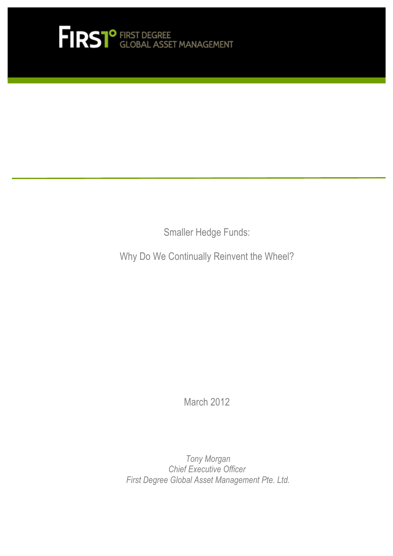

Smaller Hedge Funds:

Why Do We Continually Reinvent the Wheel?

March 2012

 *Tony Morgan Chief Executive Officer First Degree Global Asset Management Pte. Ltd.*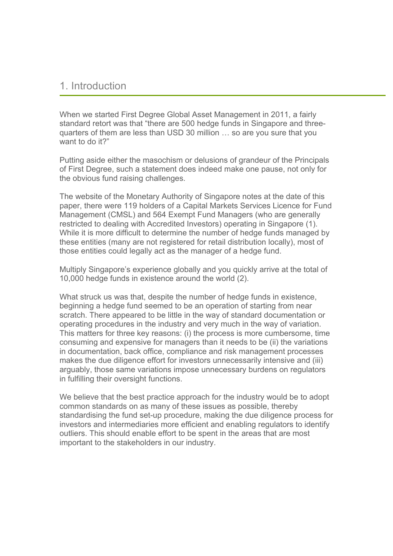### 1. Introduction

When we started First Degree Global Asset Management in 2011, a fairly standard retort was that "there are 500 hedge funds in Singapore and threequarters of them are less than USD 30 million … so are you sure that you want to do it?"

Putting aside either the masochism or delusions of grandeur of the Principals of First Degree, such a statement does indeed make one pause, not only for the obvious fund raising challenges.

The website of the Monetary Authority of Singapore notes at the date of this paper, there were 119 holders of a Capital Markets Services Licence for Fund Management (CMSL) and 564 Exempt Fund Managers (who are generally restricted to dealing with Accredited Investors) operating in Singapore (1). While it is more difficult to determine the number of hedge funds managed by these entities (many are not registered for retail distribution locally), most of those entities could legally act as the manager of a hedge fund.

Multiply Singapore's experience globally and you quickly arrive at the total of 10,000 hedge funds in existence around the world (2).

What struck us was that, despite the number of hedge funds in existence, beginning a hedge fund seemed to be an operation of starting from near scratch. There appeared to be little in the way of standard documentation or operating procedures in the industry and very much in the way of variation. This matters for three key reasons: (i) the process is more cumbersome, time consuming and expensive for managers than it needs to be (ii) the variations in documentation, back office, compliance and risk management processes makes the due diligence effort for investors unnecessarily intensive and (iii) arguably, those same variations impose unnecessary burdens on regulators in fulfilling their oversight functions.

We believe that the best practice approach for the industry would be to adopt common standards on as many of these issues as possible, thereby standardising the fund set-up procedure, making the due diligence process for investors and intermediaries more efficient and enabling regulators to identify outliers. This should enable effort to be spent in the areas that are most important to the stakeholders in our industry.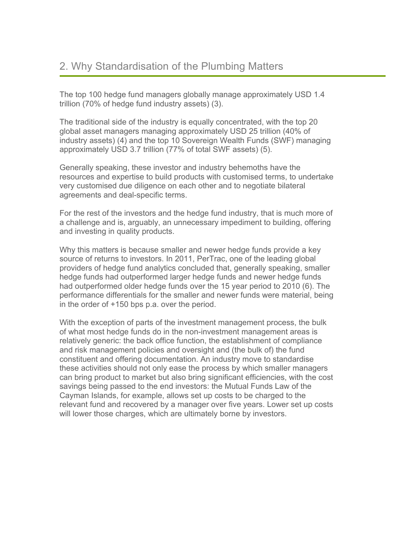The top 100 hedge fund managers globally manage approximately USD 1.4 trillion (70% of hedge fund industry assets) (3).

The traditional side of the industry is equally concentrated, with the top 20 global asset managers managing approximately USD 25 trillion (40% of industry assets) (4) and the top 10 Sovereign Wealth Funds (SWF) managing approximately USD 3.7 trillion (77% of total SWF assets) (5).

Generally speaking, these investor and industry behemoths have the resources and expertise to build products with customised terms, to undertake very customised due diligence on each other and to negotiate bilateral agreements and deal-specific terms.

For the rest of the investors and the hedge fund industry, that is much more of a challenge and is, arguably, an unnecessary impediment to building, offering and investing in quality products.

Why this matters is because smaller and newer hedge funds provide a key source of returns to investors. In 2011, PerTrac, one of the leading global providers of hedge fund analytics concluded that, generally speaking, smaller hedge funds had outperformed larger hedge funds and newer hedge funds had outperformed older hedge funds over the 15 year period to 2010 (6). The performance differentials for the smaller and newer funds were material, being in the order of +150 bps p.a. over the period.

With the exception of parts of the investment management process, the bulk of what most hedge funds do in the non-investment management areas is relatively generic: the back office function, the establishment of compliance and risk management policies and oversight and (the bulk of) the fund constituent and offering documentation. An industry move to standardise these activities should not only ease the process by which smaller managers can bring product to market but also bring significant efficiencies, with the cost savings being passed to the end investors: the Mutual Funds Law of the Cayman Islands, for example, allows set up costs to be charged to the relevant fund and recovered by a manager over five years. Lower set up costs will lower those charges, which are ultimately borne by investors.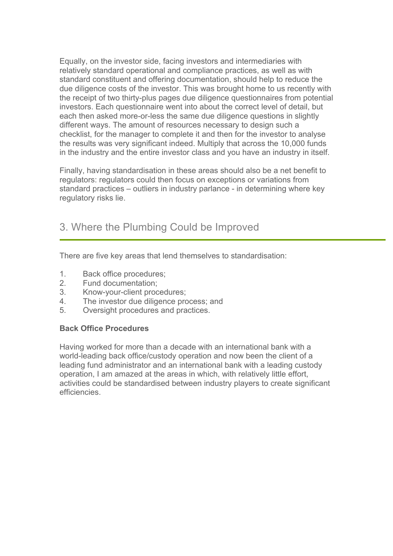Equally, on the investor side, facing investors and intermediaries with relatively standard operational and compliance practices, as well as with standard constituent and offering documentation, should help to reduce the due diligence costs of the investor. This was brought home to us recently with the receipt of two thirty-plus pages due diligence questionnaires from potential investors. Each questionnaire went into about the correct level of detail, but each then asked more-or-less the same due diligence questions in slightly different ways. The amount of resources necessary to design such a checklist, for the manager to complete it and then for the investor to analyse the results was very significant indeed. Multiply that across the 10,000 funds in the industry and the entire investor class and you have an industry in itself.

Finally, having standardisation in these areas should also be a net benefit to regulators: regulators could then focus on exceptions or variations from standard practices – outliers in industry parlance - in determining where key regulatory risks lie.

## 3. Where the Plumbing Could be Improved

There are five key areas that lend themselves to standardisation:

- 1. Back office procedures;
- 2. Fund documentation;
- 3. Know-your-client procedures;
- 4. The investor due diligence process; and
- 5. Oversight procedures and practices.

### **Back Office Procedures**

Having worked for more than a decade with an international bank with a world-leading back office/custody operation and now been the client of a leading fund administrator and an international bank with a leading custody operation, I am amazed at the areas in which, with relatively little effort, activities could be standardised between industry players to create significant efficiencies.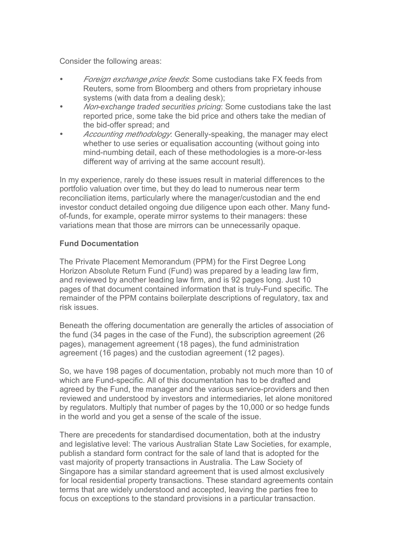Consider the following areas:

- *Foreign exchange price feeds*: Some custodians take FX feeds from Reuters, some from Bloomberg and others from proprietary inhouse systems (with data from a dealing desk);
- *Non-exchange traded securities pricing*: Some custodians take the last reported price, some take the bid price and others take the median of the bid-offer spread; and
- *Accounting methodology*: Generally-speaking, the manager may elect whether to use series or equalisation accounting (without going into mind-numbing detail, each of these methodologies is a more-or-less different way of arriving at the same account result).

In my experience, rarely do these issues result in material differences to the portfolio valuation over time, but they do lead to numerous near term reconciliation items, particularly where the manager/custodian and the end investor conduct detailed ongoing due diligence upon each other. Many fundof-funds, for example, operate mirror systems to their managers: these variations mean that those are mirrors can be unnecessarily opaque.

#### **Fund Documentation**

The Private Placement Memorandum (PPM) for the First Degree Long Horizon Absolute Return Fund (Fund) was prepared by a leading law firm, and reviewed by another leading law firm, and is 92 pages long. Just 10 pages of that document contained information that is truly-Fund specific. The remainder of the PPM contains boilerplate descriptions of regulatory, tax and risk issues.

Beneath the offering documentation are generally the articles of association of the fund (34 pages in the case of the Fund), the subscription agreement (26 pages), management agreement (18 pages), the fund administration agreement (16 pages) and the custodian agreement (12 pages).

So, we have 198 pages of documentation, probably not much more than 10 of which are Fund-specific. All of this documentation has to be drafted and agreed by the Fund, the manager and the various service-providers and then reviewed and understood by investors and intermediaries, let alone monitored by regulators. Multiply that number of pages by the 10,000 or so hedge funds in the world and you get a sense of the scale of the issue.

There are precedents for standardised documentation, both at the industry and legislative level: The various Australian State Law Societies, for example, publish a standard form contract for the sale of land that is adopted for the vast majority of property transactions in Australia. The Law Society of Singapore has a similar standard agreement that is used almost exclusively for local residential property transactions. These standard agreements contain terms that are widely understood and accepted, leaving the parties free to focus on exceptions to the standard provisions in a particular transaction.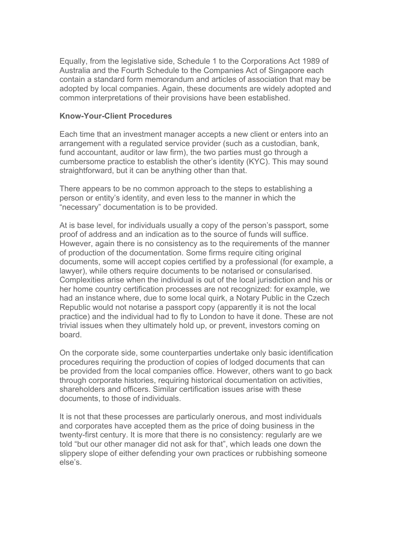Equally, from the legislative side, Schedule 1 to the Corporations Act 1989 of Australia and the Fourth Schedule to the Companies Act of Singapore each contain a standard form memorandum and articles of association that may be adopted by local companies. Again, these documents are widely adopted and common interpretations of their provisions have been established.

#### **Know-Your-Client Procedures**

Each time that an investment manager accepts a new client or enters into an arrangement with a regulated service provider (such as a custodian, bank, fund accountant, auditor or law firm), the two parties must go through a cumbersome practice to establish the other's identity (KYC). This may sound straightforward, but it can be anything other than that.

There appears to be no common approach to the steps to establishing a person or entity's identity, and even less to the manner in which the "necessary" documentation is to be provided.

At is base level, for individuals usually a copy of the person's passport, some proof of address and an indication as to the source of funds will suffice. However, again there is no consistency as to the requirements of the manner of production of the documentation. Some firms require citing original documents, some will accept copies certified by a professional (for example, a lawyer), while others require documents to be notarised or consularised. Complexities arise when the individual is out of the local jurisdiction and his or her home country certification processes are not recognized: for example, we had an instance where, due to some local quirk, a Notary Public in the Czech Republic would not notarise a passport copy (apparently it is not the local practice) and the individual had to fly to London to have it done. These are not trivial issues when they ultimately hold up, or prevent, investors coming on board.

On the corporate side, some counterparties undertake only basic identification procedures requiring the production of copies of lodged documents that can be provided from the local companies office. However, others want to go back through corporate histories, requiring historical documentation on activities, shareholders and officers. Similar certification issues arise with these documents, to those of individuals.

It is not that these processes are particularly onerous, and most individuals and corporates have accepted them as the price of doing business in the twenty-first century. It is more that there is no consistency: regularly are we told "but our other manager did not ask for that", which leads one down the slippery slope of either defending your own practices or rubbishing someone else's.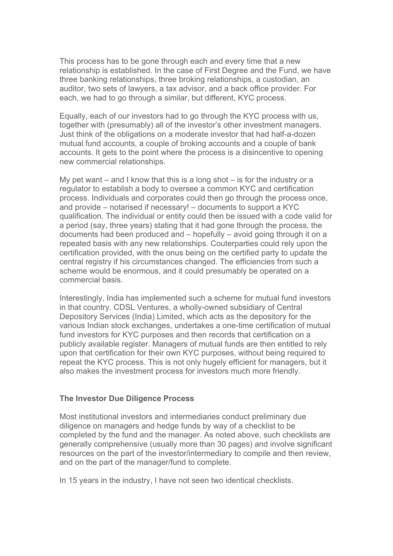This process has to be gone through each and every time that a new relationship is established. In the case of First Degree and the Fund, we have three banking relationships, three broking relationships, a custodian, an auditor, two sets of lawyers, a tax advisor, and a back office provider. For each, we had to go through a similar, but different, KYC process.

Equally, each of our investors had to go through the KYC process with us, together with (presumably) all of the investor's other investment managers. Just think of the obligations on a moderate investor that had half-a-dozen mutual fund accounts, a couple of broking accounts and a couple of bank accounts. It gets to the point where the process is a disincentive to opening new commercial relationships.

My pet want – and I know that this is a long shot – is for the industry or a regulator to establish a body to oversee a common KYC and certification process. Individuals and corporates could then go through the process once, and provide – notarised if necessary! – documents to support a KYC qualification. The individual or entity could then be issued with a code valid for a period (say, three years) stating that it had gone through the process, the documents had been produced and – hopefully – avoid going through it on a repeated basis with any new relationships. Couterparties could rely upon the certification provided, with the onus being on the certified party to update the central registry if his circumstances changed. The efficiencies from such a scheme would be enormous, and it could presumably be operated on a commercial basis.

Interestingly, India has implemented such a scheme for mutual fund investors in that country. CDSL Ventures, a wholly-owned subsidiary of Central Depository Services (India) Limited, which acts as the depository for the various Indian stock exchanges, undertakes a one-time certification of mutual fund investors for KYC purposes and then records that certification on a publicly available register. Managers of mutual funds are then entitled to rely upon that certification for their own KYC purposes, without being required to repeat the KYC process. This is not only hugely efficient for managers, but it also makes the investment process for investors much more friendly.

#### **The Investor Due Diligence Process**

Most institutional investors and intermediaries conduct preliminary due diligence on managers and hedge funds by way of a checklist to be completed by the fund and the manager. As noted above, such checklists are generally comprehensive (usually more than 30 pages) and involve significant resources on the part of the investor/intermediary to compile and then review, and on the part of the manager/fund to complete.

In 15 years in the industry, I have not seen two identical checklists.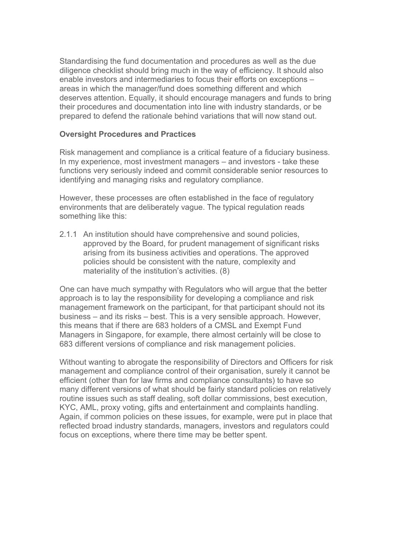Standardising the fund documentation and procedures as well as the due diligence checklist should bring much in the way of efficiency. It should also enable investors and intermediaries to focus their efforts on exceptions – areas in which the manager/fund does something different and which deserves attention. Equally, it should encourage managers and funds to bring their procedures and documentation into line with industry standards, or be prepared to defend the rationale behind variations that will now stand out.

#### **Oversight Procedures and Practices**

Risk management and compliance is a critical feature of a fiduciary business. In my experience, most investment managers – and investors - take these functions very seriously indeed and commit considerable senior resources to identifying and managing risks and regulatory compliance.

However, these processes are often established in the face of regulatory environments that are deliberately vague. The typical regulation reads something like this:

2.1.1 An institution should have comprehensive and sound policies, approved by the Board, for prudent management of significant risks arising from its business activities and operations. The approved policies should be consistent with the nature, complexity and materiality of the institution's activities. (8)

One can have much sympathy with Regulators who will argue that the better approach is to lay the responsibility for developing a compliance and risk management framework on the participant, for that participant should not its business – and its risks – best. This is a very sensible approach. However, this means that if there are 683 holders of a CMSL and Exempt Fund Managers in Singapore, for example, there almost certainly will be close to 683 different versions of compliance and risk management policies.

Without wanting to abrogate the responsibility of Directors and Officers for risk management and compliance control of their organisation, surely it cannot be efficient (other than for law firms and compliance consultants) to have so many different versions of what should be fairly standard policies on relatively routine issues such as staff dealing, soft dollar commissions, best execution, KYC, AML, proxy voting, gifts and entertainment and complaints handling. Again, if common policies on these issues, for example, were put in place that reflected broad industry standards, managers, investors and regulators could focus on exceptions, where there time may be better spent.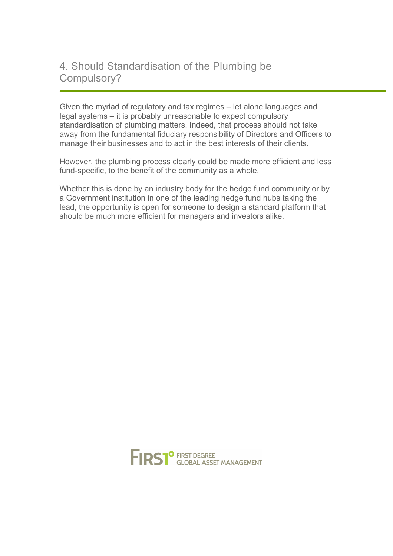# 4. Should Standardisation of the Plumbing be Compulsory?

Given the myriad of regulatory and tax regimes – let alone languages and legal systems – it is probably unreasonable to expect compulsory standardisation of plumbing matters. Indeed, that process should not take away from the fundamental fiduciary responsibility of Directors and Officers to manage their businesses and to act in the best interests of their clients.

However, the plumbing process clearly could be made more efficient and less fund-specific, to the benefit of the community as a whole.

Whether this is done by an industry body for the hedge fund community or by a Government institution in one of the leading hedge fund hubs taking the lead, the opportunity is open for someone to design a standard platform that should be much more efficient for managers and investors alike.